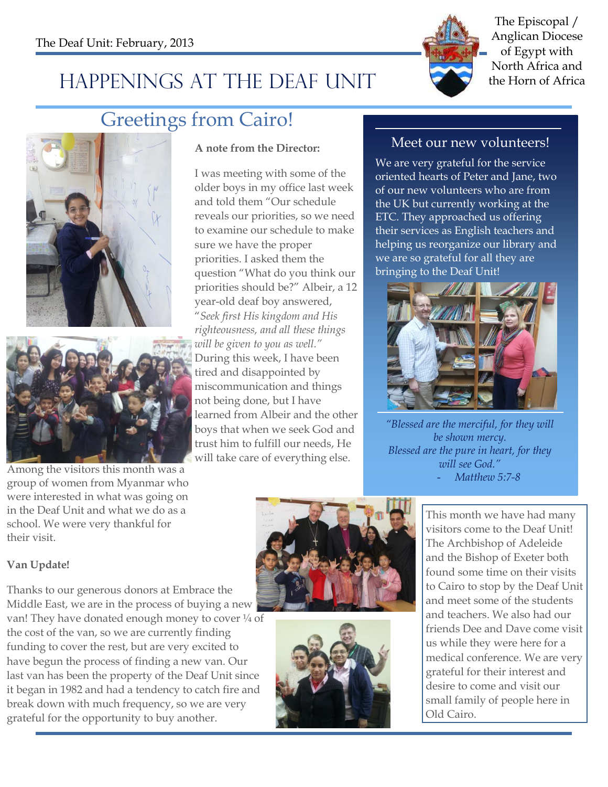

The Episcopal / Anglican Diocese of Egypt with North Africa and

# HAPPENINGS AT THE DEAF UNIT the Horn of Africa

### Greetings from Cairo!





Among the visitors this month was a group of women from Myanmar who were interested in what was going on in the Deaf Unit and what we do as a school. We were very thankful for their visit.

#### **Van Update!**

Thanks to our generous donors at Embrace the Middle East, we are in the process of buying a new van! They have donated enough money to cover  $\frac{1}{4}$  of the cost of the van, so we are currently finding funding to cover the rest, but are very excited to have begun the process of finding a new van. Our last van has been the property of the Deaf Unit since it began in 1982 and had a tendency to catch fire and break down with much frequency, so we are very grateful for the opportunity to buy another.

#### **A note from the Director:**

I was meeting with some of the older boys in my office last week and told them "Our schedule reveals our priorities, so we need to examine our schedule to make sure we have the proper priorities. I asked them the question "What do you think our priorities should be?" Albeir, a 12 year-old deaf boy answered, "*Seek first His kingdom and His righteousness, and all these things will be given to you as well."* During this week, I have been tired and disappointed by miscommunication and things not being done, but I have learned from Albeir and the other boys that when we seek God and trust him to fulfill our needs, He will take care of everything else.

#### Meet our new volunteers!

We are very grateful for the service oriented hearts of Peter and Jane, two of our new volunteers who are from the UK but currently working at the ETC. They approached us offering their services as English teachers and helping us reorganize our library and we are so grateful for all they are bringing to the Deaf Unit!



*"Blessed are the merciful, for they will be shown mercy. Blessed are the pure in heart, for they will see God."* - *Matthew 5:7-8* 

This month we have had many visitors come to the Deaf Unit! The Archbishop of Adeleide and the Bishop of Exeter both found some time on their visits to Cairo to stop by the Deaf Unit and meet some of the students and teachers. We also had our friends Dee and Dave come visit us while they were here for a medical conference. We are very grateful for their interest and desire to come and visit our small family of people here in Old Cairo.